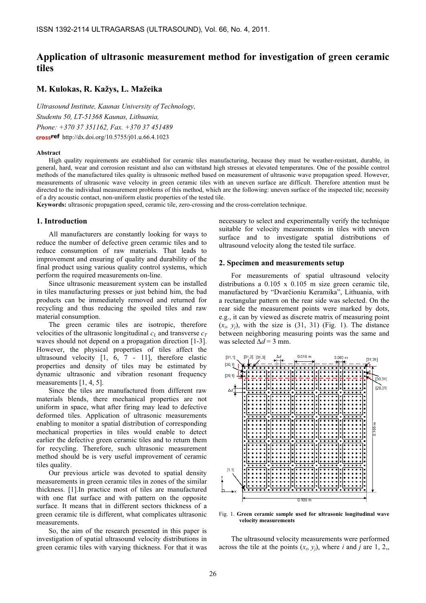# Application of ultrasonic measurement method for investigation of green ceramic tiles

# M. Kulokas, R. Kažys, L. Mažeika

Ultrasound Institute, Kaunas University of Technology, Studentu 50, LT-51368 Kaunas, Lithuania, Phone: +370 37 351162, Fax. +370 37 451489 http://dx.doi.org/10.5755/j01.u.66.4.1023

## Abstract

High quality requirements are established for ceramic tiles manufacturing, because they must be weather-resistant, durable, in general, hard, wear and corrosion resistant and also can withstand high stresses at elevated temperatures. One of the possible control methods of the manufactured tiles quality is ultrasonic method based on measurement of ultrasonic wave propagation speed. However, measurements of ultrasonic wave velocity in green ceramic tiles with an uneven surface are difficult. Therefore attention must be directed to the individual measurement problems of this method, which are the following: uneven surface of the inspected tile; necessity of a dry acoustic contact, non-uniform elastic properties of the tested tile.

Keywords: ultrasonic propagation speed, ceramic tile, zero-crossing and the cross-correlation technique.

### 1. Introduction

All manufacturers are constantly looking for ways to reduce the number of defective green ceramic tiles and to reduce consumption of raw materials. That leads to improvement and ensuring of quality and durability of the final product using various quality control systems, which perform the required measurements on-line.

Since ultrasonic measurement system can be installed in tiles manufacturing presses or just behind him, the bad products can be immediately removed and returned for recycling and thus reducing the spoiled tiles and raw material consumption.

The green ceramic tiles are isotropic, therefore velocities of the ultrasonic longitudinal  $c<sub>L</sub>$  and transverse  $c<sub>T</sub>$ waves should not depend on a propagation direction [1-3]. However, the physical properties of tiles affect the ultrasound velocity [1, 6, 7 - 11], therefore elastic properties and density of tiles may be estimated by dynamic ultrasonic and vibration resonant frequency measurements [1, 4, 5].

Since the tiles are manufactured from different raw materials blends, there mechanical properties are not uniform in space, what after firing may lead to defective deformed tiles. Application of ultrasonic measurements enabling to monitor a spatial distribution of corresponding mechanical properties in tiles would enable to detect earlier the defective green ceramic tiles and to return them for recycling. Therefore, such ultrasonic measurement method should be is very useful improvement of ceramic tiles quality.

Our previous article was devoted to spatial density measurements in green ceramic tiles in zones of the similar thickness. [1].In practice most of tiles are manufactured with one flat surface and with pattern on the opposite surface. It means that in different sectors thickness of a green ceramic tile is different, what complicates ultrasonic measurements.

So, the aim of the research presented in this paper is investigation of spatial ultrasound velocity distributions in green ceramic tiles with varying thickness. For that it was necessary to select and experimentally verify the technique suitable for velocity measurements in tiles with uneven surface and to investigate spatial distributions of ultrasound velocity along the tested tile surface.

### 2. Specimen and measurements setup

For measurements of spatial ultrasound velocity distributions a 0.105 x 0.105 m size green ceramic tile, manufactured by "Dvarčioniu Keramika", Lithuania, with a rectangular pattern on the rear side was selected. On the rear side the measurement points were marked by dots, e.g., it can by viewed as discrete matrix of measuring point  $(x_i, y_i)$ , with the size is  $(31, 31)$  (Fig. 1). The distance between neighboring measuring points was the same and was selected  $\Delta d = 3$  mm.



Fig. 1. Green ceramic sample used for ultrasonic longitudinal wave velocity measurements

The ultrasound velocity measurements were performed across the tile at the points  $(x_i, y_i)$ , where i and j are 1, 2,,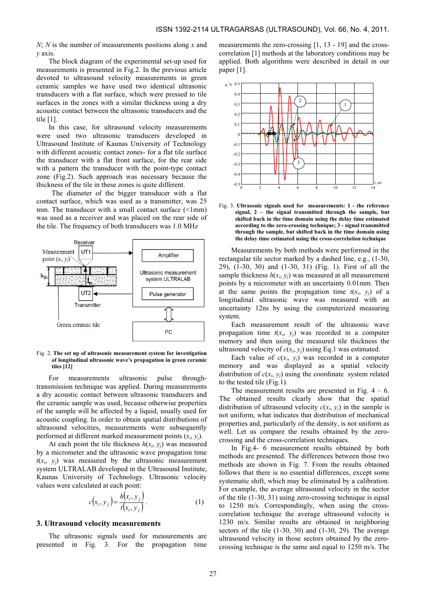$N$ ; N is the number of measurements positions along x and  $\nu$  axis.

The block diagram of the experimental set-up used for measurements is presented in Fig.2. In the previous article devoted to ultrasound velocity measurements in green ceramic samples we have used two identical ultrasonic transducers with a flat surface, which were pressed to tile surfaces in the zones with a similar thickness using a dry acoustic contact between the ultrasonic transducers and the tile [1].

In this case, for ultrasound velocity measurements were used two ultrasonic transducers developed in Ultrasound Institute of Kaunas University of Technology with different acoustic contact zones- for a flat tile surface the transducer with a flat front surface, for the rear side with a pattern the transducer with the point-type contact zone (Fig.2). Such approach was necessary because the thickness of the tile in these zones is quite different.

The diameter of the bigger transducer with a flat contact surface, which was used as a transmitter, was 25 mm. The transducer with a small contact surface (<1mm) was used as a receiver and was placed on the rear side of the tile. The frequency of both transducers was 1.0 MHz



Fig. 2. The set up of ultrasonic measurement system for investigation of longitudinal ultrasonic wave's propagation in green ceramic tiles [12]

For measurements ultrasonic pulse throughtransmission technique was applied. During measurements a dry acoustic contact between ultrasonic transducers and the ceramic sample was used, because otherwise properties of the sample will be affected by a liquid, usually used for acoustic coupling. In order to obtain spatial distributions of ultrasound velocities, measurements were subsequently performed at different marked measurement points  $(x_i, y_i)$ .

At each point the tile thickness  $h(x_i, y_i)$  was measured by a micrometer and the ultrasonic wave propagation time  $t(x_i, y_i)$  was measured by the ultrasonic measurement system ULTRALAB developed in the Ultrasound Institute, Kaunas University of Technology. Ultrasonic velocity values were calculated at each point:

$$
c(x_i, y_j) = \frac{h(x_i, y_j)}{t(x_i, y_j)}.
$$
 (1)

# 3. Ultrasound velocity measurements

The ultrasonic signals used for measurements are presented in Fig. 3. For the propagation time

measurements the zero-crossing [1, 13 - 19] and the crosscorrelation [1] methods at the laboratory conditions may be applied. Both algorithms were described in detail in our paper [1].



Fig. 3. Ultrasonic signals used for measurements: 1 - the reference signal, 2 – the signal transmitted through the sample, but shifted back in the time domain using the delay time estimated according to the zero-crossing technique; 3 - signal transmitted through the sample, but shifted back in the time domain using the delay time estimated using the cross-correlation technique

Measurements by both methods were performed in the rectangular tile sector marked by a dashed line, e.g., (1-30, 29), (1-30, 30) and (1-30, 31) (Fig. 1). First of all the sample thickness  $h(x_i, y_j)$  was measured at all measurement points by a micrometer with an uncertainty 0.01mm. Then at the same points the propagation time  $t(x_i, y_i)$  of a longitudinal ultrasonic wave was measured with an uncertainty 12ns by using the computerized measuring system.

Each measurement result of the ultrasonic wave propagation time  $t(x_i, y_i)$  was recorded in a computer memory and then using the measured tile thickness the ultrasound velocity of  $c(x_i, y_i)$  using Eq.1 was estimated.

Each value of  $c(x_i, y_i)$  was recorded in a computer memory and was displayed as a spatial velocity distribution of  $c(x_i, y_i)$  using the coordinate system related to the tested tile (Fig.1).

The measurement results are presented in Fig.  $4 - 6$ . The obtained results clearly show that the spatial distribution of ultrasound velocity  $c(x_i, y_i)$  in the sample is not uniform, what indicates that distribution of mechanical properties and, particularly of the density, is not uniform as well. Let us compare the results obtained by the zerocrossing and the cross-correlation techniques.

In Fig.4- 6 measurement results obtained by both methods are presented. The differences between those two methods are shown in Fig. 7. From the results obtained follows that there is no essential differences, except some systematic shift, which may be eliminated by a calibration. For example, the average ultrasound velocity in the sector of the tile (1-30, 31) using zero-crossing technique is equal to 1250 m/s. Correspondingly, when using the crosscorrelation technique the average ultrasound velocity is 1230 m/s. Similar results are obtained in neighboring sectors of the tile (1-30, 30) and (1-30, 29). The average ultrasound velocity in those sectors obtained by the zerocrossing technique is the same and equal to 1250 m/s. The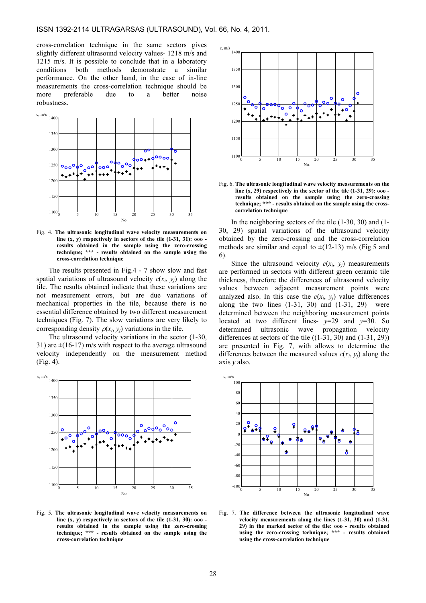cross-correlation technique in the same sectors gives slightly different ultrasound velocity values- 1218 m/s and 1215 m/s. It is possible to conclude that in a laboratory conditions both methods demonstrate a similar performance. On the other hand, in the case of in-line measurements the cross-correlation technique should be<br>more preferable due to a better noise more preferable due to a better noise robustness.



Fig. 4. The ultrasonic longitudinal wave velocity measurements on line (x, y) respectively in sectors of the tile (1-31, 31): ooo results obtained in the sample using the zero-crossing technique; \*\*\* - results obtained on the sample using the cross-correlation technique

The results presented in Fig.4 - 7 show slow and fast spatial variations of ultrasound velocity  $c(x_i, y_i)$  along the tile. The results obtained indicate that these variations are not measurement errors, but are due variations of mechanical properties in the tile, because there is no essential difference obtained by two different measurement techniques (Fig. 7). The slow variations are very likely to corresponding density  $\rho(x_i, y_i)$  variations in the tile.

The ultrasound velocity variations in the sector (1-30, 31) are  $\pm(16-17)$  m/s with respect to the average ultrasound velocity independently on the measurement method (Fig. 4).



Fig. 5. The ultrasonic longitudinal wave velocity measurements on line (x, y) respectively in sectors of the tile (1-31, 30): ooo results obtained in the sample using the zero-crossing technique; \*\*\* - results obtained on the sample using the cross-correlation technique



Fig. 6. The ultrasonic longitudinal wave velocity measurements on the line (x, 29) respectively in the sector of the tile (1-31, 29): ooo results obtained on the sample using the zero-crossing technique; \*\*\* - results obtained on the sample using the crosscorrelation technique

In the neighboring sectors of the tile (1-30, 30) and (1- 30, 29) spatial variations of the ultrasound velocity obtained by the zero-crossing and the cross-correlation methods are similar and equal to  $\pm(12-13)$  m/s (Fig.5 and 6).

Since the ultrasound velocity  $c(x_i, y_i)$  measurements are performed in sectors with different green ceramic tile thickness, therefore the differences of ultrasound velocity values between adjacent measurement points were analyzed also. In this case the  $c(x_i, y_i)$  value differences along the two lines  $(1-31, 30)$  and  $(1-31, 29)$  were determined between the neighboring measurement points located at two different lines-  $v=29$  and  $v=30$ . So determined ultrasonic wave propagation velocity differences at sectors of the tile ((1-31, 30) and (1-31, 29)) are presented in Fig. 7, with allows to determine the differences between the measured values  $c(x_i, y_i)$  along the axis y also.



Fig. 7. The difference between the ultrasonic longitudinal wave velocity measurements along the lines (1-31, 30) and (1-31, 29) in the marked sector of the tile: ooo - results obtained using the zero-crossing technique; \*\*\* - results obtained using the cross-correlation technique